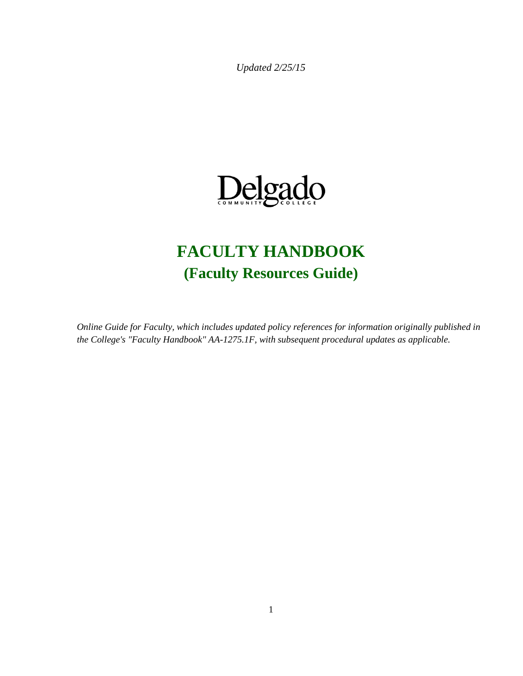*Updated 2/25/15*



# **FACULTY HANDBOOK (Faculty Resources Guide)**

*Online Guide for Faculty, which includes updated policy references for information originally published in the College's "Faculty Handbook" AA-1275.1F, with subsequent procedural updates as applicable.*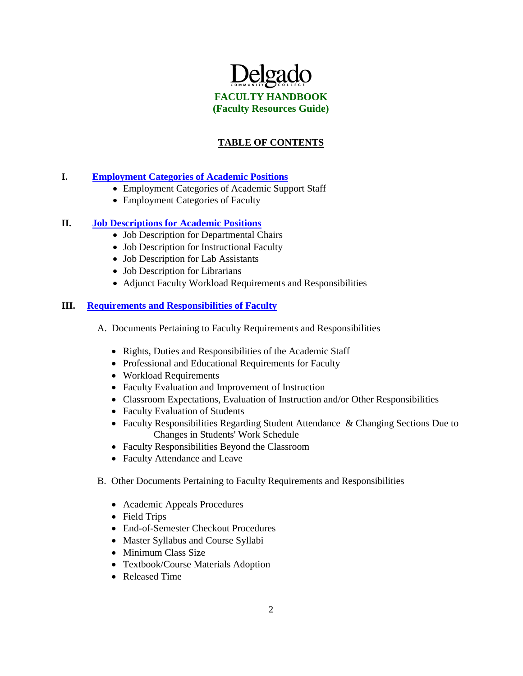

### **TABLE OF CONTENTS**

#### **I. [Employment Categories of Academic Positions](http://www.dcc.edu/departments/policy-office/academicaffairspolicies/facultyresourceguide/employmentcategories.aspx)**

- Employment Categories of Academic Support Staff
- Employment Categories of Faculty

#### **II. [Job Descriptions for Academic Positions](http://www.dcc.edu/departments/policy-office/academicaffairspolicies/facultyresourceguide/jobdescriptions.aspx)**

- Job Description for Departmental Chairs
- Job Description for Instructional Faculty
- Job Description for Lab Assistants
- Job Description for Librarians
- Adjunct Faculty Workload Requirements and Responsibilities

#### **III. [Requirements and Responsibilities of Faculty](http://www.dcc.edu/departments/policy-office/academicaffairspolicies/facultyresourceguide/reqandrespoffaculty.aspx)**

- A. Documents Pertaining to Faculty Requirements and Responsibilities
	- Rights, Duties and Responsibilities of the Academic Staff
	- Professional and Educational Requirements for Faculty
	- Workload Requirements
	- Faculty Evaluation and Improvement of Instruction
	- Classroom Expectations, Evaluation of Instruction and/or Other Responsibilities
	- Faculty Evaluation of Students
	- Faculty Responsibilities Regarding Student Attendance & Changing Sections Due to Changes in Students' Work Schedule
	- Faculty Responsibilities Beyond the Classroom
	- Faculty Attendance and Leave
- B. Other Documents Pertaining to Faculty Requirements and Responsibilities
	- Academic Appeals Procedures
	- Field Trips
	- End-of-Semester Checkout Procedures
	- Master Syllabus and Course Syllabi
	- Minimum Class Size
	- Textbook/Course Materials Adoption
	- Released Time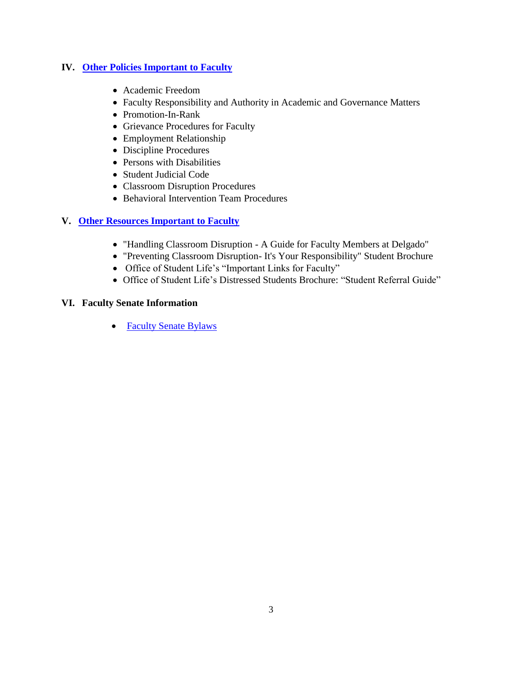### **IV. [Other Policies Important to Faculty](http://www.dcc.edu/departments/policy-office/academicaffairspolicies/facultyresourceguide/otherpolicies.aspx)**

- Academic Freedom
- Faculty Responsibility and Authority in Academic and Governance Matters
- Promotion-In-Rank
- Grievance Procedures for Faculty
- Employment Relationship
- Discipline Procedures
- Persons with Disabilities
- Student Judicial Code
- Classroom Disruption Procedures
- Behavioral Intervention Team Procedures

### **V. [Other Resources Important to Faculty](http://www.dcc.edu/departments/policy-office/academicaffairspolicies/facultyresourceguide/otherresources.aspx)**

- "Handling Classroom Disruption A Guide for Faculty Members at Delgado"
- "Preventing Classroom Disruption- It's Your Responsibility" Student Brochure
- Office of Student Life's "Important Links for Faculty"
- Office of Student Life's Distressed Students Brochure: "Student Referral Guide"

#### **VI. Faculty Senate Information**

• [Faculty Senate Bylaws](http://docushare3.dcc.edu/docushare/dsweb/Get/Document-2793/)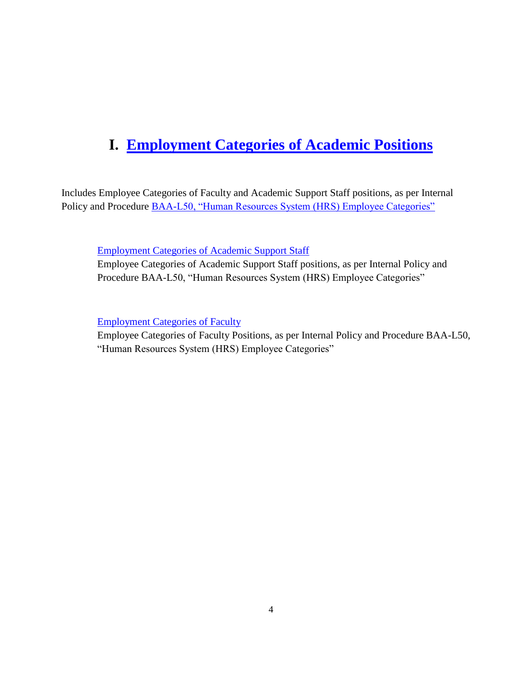## **I. [Employment Categories of Academic Positions](http://www.dcc.edu/departments/policy-office/academicaffairspolicies/facultyresourceguide/employmentcategories.aspx)**

Includes Employee Categories of Faculty and Academic Support Staff positions, as per Internal Policy and Procedure [BAA-L50, "Human Resources System \(HRS\) Employee Categories"](http://docushare3.dcc.edu/docushare/dsweb/Get/Document-2277)

[Employment Categories of Academic Support Staff](http://docushare3.dcc.edu/docushare/dsweb/Get/Document-2232/Faculty+Handbook+-+Employment+Categories+for+Academic+Support+Staff.doc)

Employee Categories of Academic Support Staff positions, as per Internal Policy and Procedure BAA-L50, "Human Resources System (HRS) Employee Categories"

[Employment Categories of Faculty](http://docushare3.dcc.edu/docushare/dsweb/Get/Document-2231/Faculty+Handbook+-+Employment+Categories+for+Faculty.doc)

Employee Categories of Faculty Positions, as per Internal Policy and Procedure BAA-L50, "Human Resources System (HRS) Employee Categories"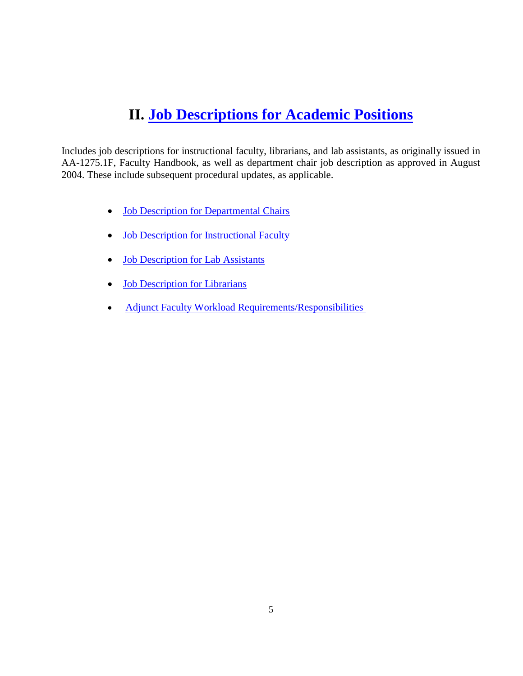### **II. [Job Descriptions for Academic Positions](http://www.dcc.edu/departments/policy-office/academicaffairspolicies/facultyresourceguide/jobdescriptions.aspx)**

Includes job descriptions for instructional faculty, librarians, and lab assistants, as originally issued in AA-1275.1F, Faculty Handbook, as well as department chair job description as approved in August 2004. These include subsequent procedural updates, as applicable.

- [Job Description for Departmental Chairs](http://docushare3.dcc.edu/docushare/dsweb/Get/Document-2249/Faculty+Handbook+-+Job+Description+for+Department+Chair.doc)
- [Job Description for Instructional Faculty](http://docushare3.dcc.edu/docushare/dsweb/Get/Document-2236/Faculty+Handbook+-+Job+Description+for+Instructional+Faculty.doc)
- [Job Description for Lab Assistants](http://docushare3.dcc.edu/docushare/dsweb/Get/Document-2250/Faculty+Handbook+-+Job+Description+for+Lab+Assistants.doc)
- [Job Description for Librarians](http://docushare3.dcc.edu/docushare/dsweb/Get/Document-2251/Faculty+Handbook+-+Job+Description+for+Librarians.doc)
- [Adjunct Faculty Workload Requirements/Responsibilities](http://docushare3.dcc.edu/docushare/dsweb/Get/Document-5513)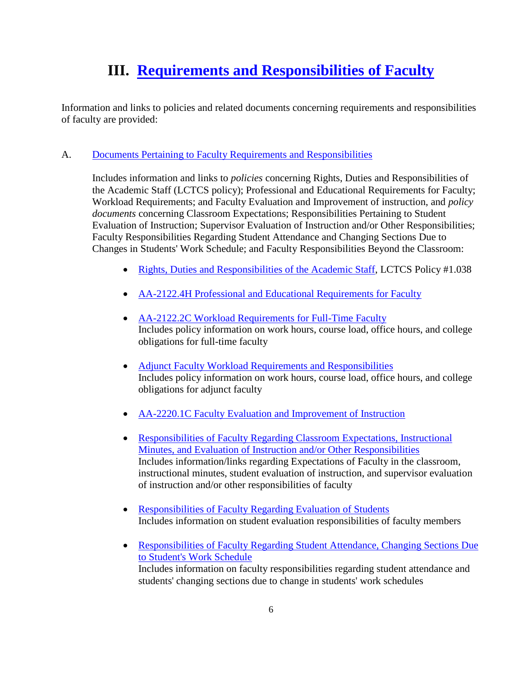## **III. [Requirements and Responsibilities of Faculty](http://www.dcc.edu/departments/policy-office/academicaffairspolicies/facultyresourceguide/reqandrespoffaculty.aspx)**

Information and links to policies and related documents concerning requirements and responsibilities of faculty are provided:

### A. [Documents Pertaining to Faculty Requirements and Responsibilities](http://www.dcc.edu/departments/policy-office/academicaffairspolicies/facultyresourceguide/reqandrespoffaculty.aspx)

Includes information and links to *policies* concerning Rights, Duties and Responsibilities of the Academic Staff (LCTCS policy); Professional and Educational Requirements for Faculty; Workload Requirements; and Faculty Evaluation and Improvement of instruction, and *policy documents* concerning Classroom Expectations; Responsibilities Pertaining to Student Evaluation of Instruction; Supervisor Evaluation of Instruction and/or Other Responsibilities; Faculty Responsibilities Regarding Student Attendance and Changing Sections Due to Changes in Students' Work Schedule; and Faculty Responsibilities Beyond the Classroom:

- [Rights, Duties and Responsibilities of the Academic Staff,](http://docushare3.dcc.edu/docushare/dsweb/Get/Document-2235/LCTCS+Policy+I.1.038+Rights%2C+Duties+and+Responsibilities+of+the+Academic+Staff.pdf) LCTCS Policy #1.038
- [AA-2122.4H Professional and Educational Requirements for Faculty](http://docushare3.dcc.edu/docushare/dsweb/Get/Document-137/2122-4h+with+Oral+and+Written+Proficiencey+LRS+Addition+5-07%2C+Attach+A+B+and+C+8-08.pdf)
- [AA-2122.2C Workload Requirements for Full-Time Faculty](http://docushare3.dcc.edu/docushare/dsweb/Get/Document-1538/2122-2C.doc) Includes policy information on work hours, course load, office hours, and college obligations for full-time faculty
- [Adjunct Faculty Workload Requirements and Responsibilities](http://docushare3.dcc.edu/docushare/dsweb/Get/Document-5513) Includes policy information on work hours, course load, office hours, and college obligations for adjunct faculty
- [AA-2220.1C Faculty Evaluation and Improvement of Instruction](http://docushare3.dcc.edu/docushare/dsweb/Get/Document-440/2220-1c+with+Title+Updates+%26+Form+2220-007+addition+Jan+2008.doc)
- [Responsibilities of Faculty Regarding Classroom Expectations, Instructional](http://docushare3.dcc.edu/docushare/dsweb/Get/Document-2237/Faculty+Handbook+-+Evaluation+and+or+Other+Responsibilities.doc)  [Minutes, and Evaluation of Instruction and/or Other Responsibilities](http://docushare3.dcc.edu/docushare/dsweb/Get/Document-2237/Faculty+Handbook+-+Evaluation+and+or+Other+Responsibilities.doc) Includes information/links regarding Expectations of Faculty in the classroom, instructional minutes, student evaluation of instruction, and supervisor evaluation of instruction and/or other responsibilities of faculty
- [Responsibilities of Faculty Regarding Evaluation of Students](http://docushare3.dcc.edu/docushare/dsweb/Get/Document-2252/Faculty+Handbook+-+Evaluation+of+Students.doc) Includes information on student evaluation responsibilities of faculty members
- [Responsibilities of Faculty Regarding Student Attendance, Changing Sections Due](http://docushare3.dcc.edu/docushare/dsweb/Get/Document-2253/Faculty+Handbook+-+Student+Attendance%2C+Student+Work+Schedule.doc)  [to Student's Work Schedule](http://docushare3.dcc.edu/docushare/dsweb/Get/Document-2253/Faculty+Handbook+-+Student+Attendance%2C+Student+Work+Schedule.doc) Includes information on faculty responsibilities regarding student attendance and students' changing sections due to change in students' work schedules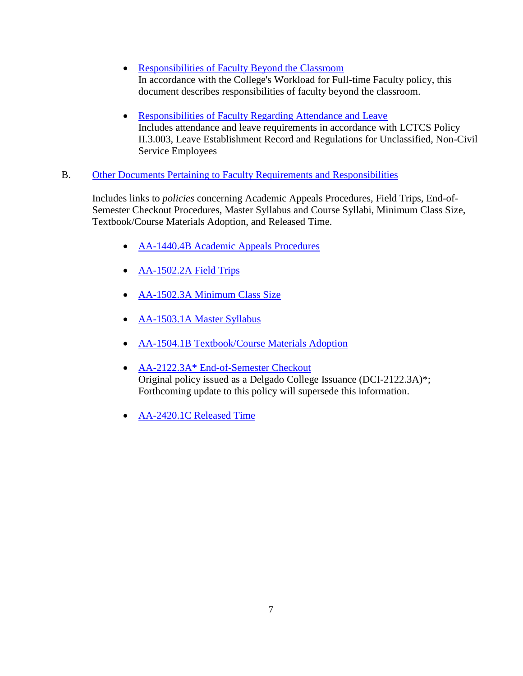- [Responsibilities of Faculty Beyond the Classroom](http://docushare3.dcc.edu/docushare/dsweb/Get/Document-2255/Faculty+Handbook+-+Responsibilities+Beyond+the+Classroom.doc) In accordance with the College's Workload for Full-time Faculty policy, this document describes responsibilities of faculty beyond the classroom.
- [Responsibilities of Faculty Regarding Attendance and Leave](http://docushare3.dcc.edu/docushare/dsweb/Get/Document-2256/Faculty+Handbook+-+Faculty+Attendance+and+Leave.doc) Includes attendance and leave requirements in accordance with LCTCS Policy II.3.003, Leave Establishment Record and Regulations for Unclassified, Non-Civil Service Employees

### B. [Other Documents Pertaining to Faculty Requirements and Responsibilities](http://www.dcc.edu/departments/policy-office/academicaffairspolicies/facultyresourceguide/otherpolicies.aspx)

Includes links to *policies* concerning Academic Appeals Procedures, Field Trips, End-of-Semester Checkout Procedures, Master Syllabus and Course Syllabi, Minimum Class Size, Textbook/Course Materials Adoption, and Released Time.

- **[AA-1440.4B Academic Appeals Procedures](http://docushare3.dcc.edu/docushare/dsweb/Get/Document-1730/1440-4B.pdf)**
- [AA-1502.2A Field Trips](http://docushare3.dcc.edu/docushare/dsweb/Get/Document-913/1502-2a.doc)
- [AA-1502.3A Minimum Class Size](http://docushare3.dcc.edu/docushare/dsweb/Get/Document-545/1502-3a.doc)
- [AA-1503.1A Master Syllabus](http://docushare3.dcc.edu/docushare/dsweb/Get/Document-32/1503-1A+updated+titles+and+objectives+1-08.doc)
- [AA-1504.1B Textbook/Course Materials Adoption](http://docushare3.dcc.edu/docushare/dsweb/Get/Document-33/1504-1b.doc)
- [AA-2122.3A\\* End-of-Semester Checkout](http://docushare3.dcc.edu/docushare/dsweb/Get/Document-1541/2122-3a.pdf) Original policy issued as a Delgado College Issuance (DCI-2122.3A)\*; Forthcoming update to this policy will supersede this information.
- [AA-2420.1C Released Time](http://docushare3.dcc.edu/docushare/dsweb/Get/Document-636/2420-1c.doc)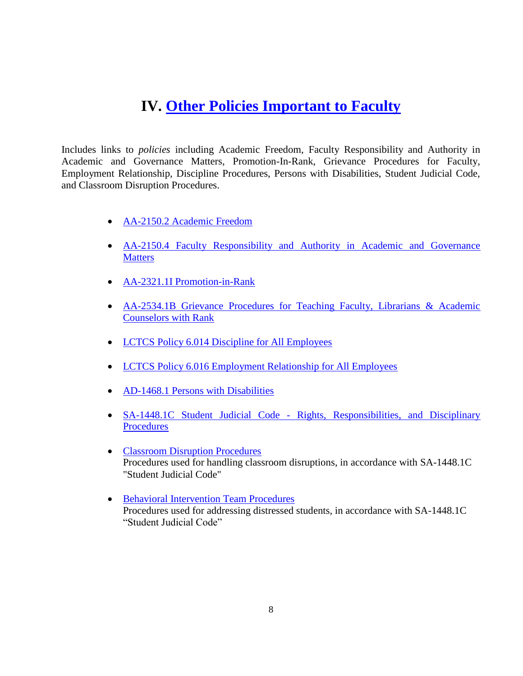### **IV. [Other Policies Important to Faculty](http://www.dcc.edu/departments/policy-office/academicaffairspolicies/facultyresourceguide/otherpolicies.aspx)**

Includes links to *policies* including Academic Freedom, Faculty Responsibility and Authority in Academic and Governance Matters, Promotion-In-Rank, Grievance Procedures for Faculty, Employment Relationship, Discipline Procedures, Persons with Disabilities, Student Judicial Code, and Classroom Disruption Procedures.

- [AA-2150.2 Academic Freedom](http://docushare3.dcc.edu/docushare/dsweb/Get/Document-138/2150-2.DOC)
- [AA-2150.4 Faculty Responsibility and Authority in Academic and Governance](http://docushare3.dcc.edu/docushare/dsweb/Get/Document-2911/2150-4.doc)  **[Matters](http://docushare3.dcc.edu/docushare/dsweb/Get/Document-2911/2150-4.doc)**
- [AA-2321.1I Promotion-in-Rank](http://docushare3.dcc.edu/docushare/dsweb/Get/Document-141/2321-1I+Delgado+Promotion+Policy+12-11-07+Approved+by+LCTCS+Board+3-12-08.pdf)
- [AA-2534.1B Grievance Procedures for Teaching Faculty, Librarians & Academic](http://docushare3.dcc.edu/docushare/dsweb/Get/Document-1199/2534-1B.pdf)  [Counselors with Rank](http://docushare3.dcc.edu/docushare/dsweb/Get/Document-1199/2534-1B.pdf)
- [LCTCS Policy 6.014 Discipline for All Employees](http://docushare3.dcc.edu/docushare/dsweb/Get/Document-3413/LCTCS+Policy+6-014+Discipline+for+All+Employees.pdf)
- [LCTCS Policy 6.016 Employment Relationship for All Employees](http://docushare3.dcc.edu/docushare/dsweb/Get/Document-3441/LCTCS+Policy+6-016+Employment+Relationship+for+All+Employees.pdf)
- [AD-1468.1 Persons with Disabilities](http://docushare3.dcc.edu/docushare/dsweb/Get/Document-60/1468-1.doc)
- SA-1448.1C Student Judicial Code Rights, Responsibilities, and Disciplinary [Procedures](http://docushare3.dcc.edu/docushare/dsweb/Get/Document-80/1448-1C+with+Student+Referral+Form+8-08.pdf)
- [Classroom Disruption Procedures](http://docushare3.dcc.edu/docushare/dsweb/Get/Document-3342/1448-1C+Classroom+Disruption+Procedures.pdf) Procedures used for handling classroom disruptions, in accordance with SA-1448.1C "Student Judicial Code"
- [Behavioral Intervention Team Procedures](http://docushare3.dcc.edu/docushare/dsweb/Get/Document-3970/1448-1C+STAT+Procedures.pdf) Procedures used for addressing distressed students, in accordance with SA-1448.1C "Student Judicial Code"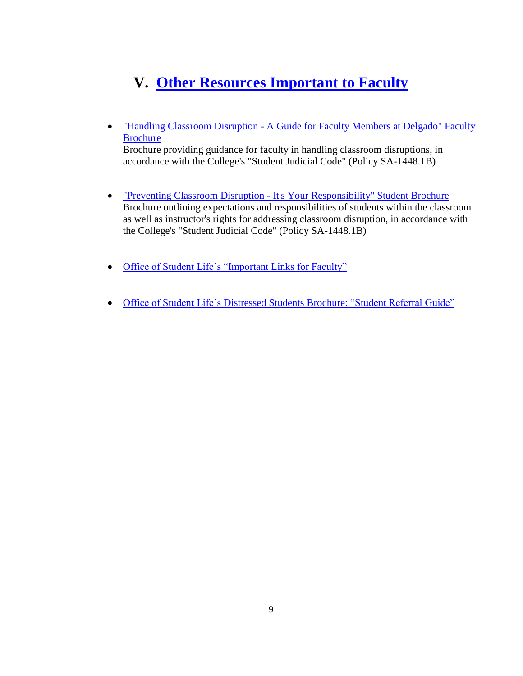## **V. [Other Resources Important to Faculty](http://www.dcc.edu/departments/policy-office/academicaffairspolicies/facultyresourceguide/otherresources.aspx)**

 "Handling Classroom Disruption - [A Guide for Faculty Members at Delgado" Faculty](http://docushare3.dcc.edu/docushare/dsweb/Get/Document-2753/disruptionFACULTY+06BLK.pdf)  [Brochure](http://docushare3.dcc.edu/docushare/dsweb/Get/Document-2753/disruptionFACULTY+06BLK.pdf)

Brochure providing guidance for faculty in handling classroom disruptions, in accordance with the College's "Student Judicial Code" (Policy SA-1448.1B)

- <u>"Preventing Classroom Disruption [It's Your Responsibility" Student Brochure](http://docushare3.dcc.edu/docushare/dsweb/Get/Document-2754/DisruptionSTUDENTBrochure.pdf)</u> Brochure outlining expectations and responsibilities of students within the classroom as well as instructor's rights for addressing classroom disruption, in accordance with the College's "Student Judicial Code" (Policy SA-1448.1B)
- [Office of Student Life's "Important Links for Faculty"](http://www.dcc.edu/studentlife/judicialaffairs-faculty-info.aspx)
- [Office of Student Life's Distressed Students Brochure: "Student Referral Guide"](http://www.dcc.edu/documents/studentlife/judicialaffairs/faculty/SuicideReferralGuide.pdf)